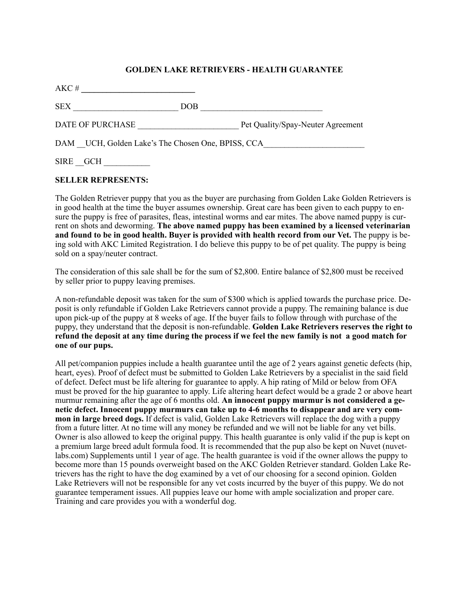## **GOLDEN LAKE RETRIEVERS - HEALTH GUARANTEE**

| AKC#                                              |     |                                   |
|---------------------------------------------------|-----|-----------------------------------|
| <b>SEX</b>                                        | DOB |                                   |
| DATE OF PURCHASE                                  |     | Pet Quality/Spay-Neuter Agreement |
| DAM UCH, Golden Lake's The Chosen One, BPISS, CCA |     |                                   |
| <b>SIRE</b><br>GCH                                |     |                                   |

## **SELLER REPRESENTS:**

The Golden Retriever puppy that you as the buyer are purchasing from Golden Lake Golden Retrievers is in good health at the time the buyer assumes ownership. Great care has been given to each puppy to ensure the puppy is free of parasites, fleas, intestinal worms and ear mites. The above named puppy is current on shots and deworming. **The above named puppy has been examined by a licensed veterinarian**  and found to be in good health. Buyer is provided with health record from our Vet. The puppy is being sold with AKC Limited Registration. I do believe this puppy to be of pet quality. The puppy is being sold on a spay/neuter contract.

The consideration of this sale shall be for the sum of \$2,800. Entire balance of \$2,800 must be received by seller prior to puppy leaving premises.

A non-refundable deposit was taken for the sum of \$300 which is applied towards the purchase price. Deposit is only refundable if Golden Lake Retrievers cannot provide a puppy. The remaining balance is due upon pick-up of the puppy at 8 weeks of age. If the buyer fails to follow through with purchase of the puppy, they understand that the deposit is non-refundable. **Golden Lake Retrievers reserves the right to refund the deposit at any time during the process if we feel the new family is not a good match for one of our pups.**

All pet/companion puppies include a health guarantee until the age of 2 years against genetic defects (hip, heart, eyes). Proof of defect must be submitted to Golden Lake Retrievers by a specialist in the said field of defect. Defect must be life altering for guarantee to apply. A hip rating of Mild or below from OFA must be proved for the hip guarantee to apply. Life altering heart defect would be a grade 2 or above heart murmur remaining after the age of 6 months old. **An innocent puppy murmur is not considered a genetic defect. Innocent puppy murmurs can take up to 4-6 months to disappear and are very common in large breed dogs.** If defect is valid, Golden Lake Retrievers will replace the dog with a puppy from a future litter. At no time will any money be refunded and we will not be liable for any vet bills. Owner is also allowed to keep the original puppy. This health guarantee is only valid if the pup is kept on a premium large breed adult formula food. It is recommended that the pup also be kept on Nuvet (nuvetlabs.com) Supplements until 1 year of age. The health guarantee is void if the owner allows the puppy to become more than 15 pounds overweight based on the AKC Golden Retriever standard. Golden Lake Retrievers has the right to have the dog examined by a vet of our choosing for a second opinion. Golden Lake Retrievers will not be responsible for any vet costs incurred by the buyer of this puppy. We do not guarantee temperament issues. All puppies leave our home with ample socialization and proper care. Training and care provides you with a wonderful dog.